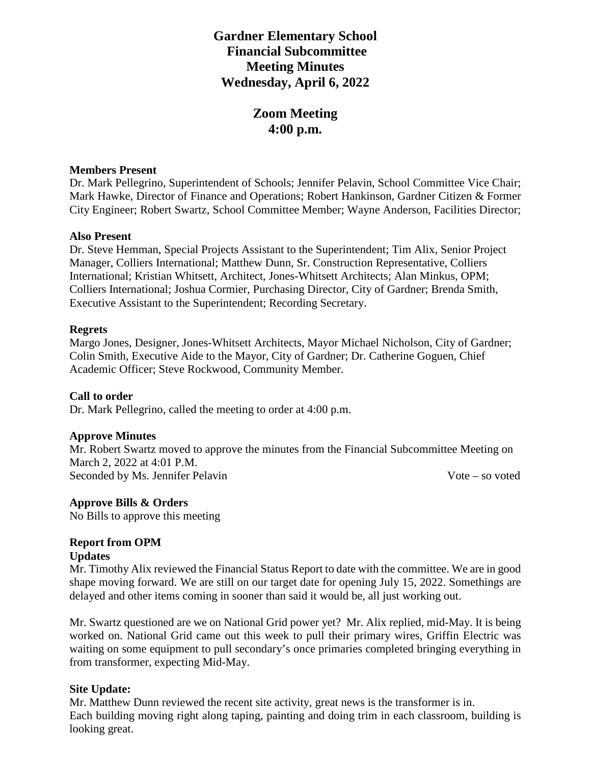# **Gardner Elementary School Financial Subcommittee Meeting Minutes Wednesday, April 6, 2022**

# **Zoom Meeting 4:00 p.m.**

### **Members Present**

Dr. Mark Pellegrino, Superintendent of Schools; Jennifer Pelavin, School Committee Vice Chair; Mark Hawke, Director of Finance and Operations; Robert Hankinson, Gardner Citizen & Former City Engineer; Robert Swartz, School Committee Member; Wayne Anderson, Facilities Director;

#### **Also Present**

Dr. Steve Hemman, Special Projects Assistant to the Superintendent; Tim Alix, Senior Project Manager, Colliers International; Matthew Dunn, Sr. Construction Representative, Colliers International; Kristian Whitsett, Architect, Jones-Whitsett Architects; Alan Minkus, OPM; Colliers International; Joshua Cormier, Purchasing Director, City of Gardner; Brenda Smith, Executive Assistant to the Superintendent; Recording Secretary.

#### **Regrets**

Margo Jones, Designer, Jones-Whitsett Architects, Mayor Michael Nicholson, City of Gardner; Colin Smith, Executive Aide to the Mayor, City of Gardner; Dr. Catherine Goguen, Chief Academic Officer; Steve Rockwood, Community Member.

#### **Call to order**

Dr. Mark Pellegrino, called the meeting to order at 4:00 p.m.

#### **Approve Minutes**

Mr. Robert Swartz moved to approve the minutes from the Financial Subcommittee Meeting on March 2, 2022 at 4:01 P.M. Seconded by Ms. Jennifer Pelavin Vote – so voted

#### **Approve Bills & Orders**

No Bills to approve this meeting

# **Report from OPM**

#### **Updates**

Mr. Timothy Alix reviewed the Financial Status Report to date with the committee. We are in good shape moving forward. We are still on our target date for opening July 15, 2022. Somethings are delayed and other items coming in sooner than said it would be, all just working out.

Mr. Swartz questioned are we on National Grid power yet? Mr. Alix replied, mid-May. It is being worked on. National Grid came out this week to pull their primary wires, Griffin Electric was waiting on some equipment to pull secondary's once primaries completed bringing everything in from transformer, expecting Mid-May.

#### **Site Update:**

Mr. Matthew Dunn reviewed the recent site activity, great news is the transformer is in. Each building moving right along taping, painting and doing trim in each classroom, building is looking great.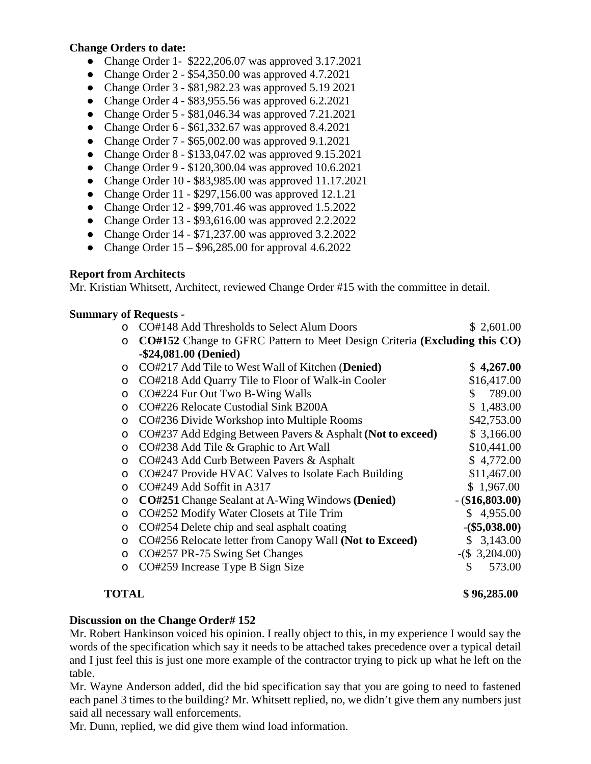#### **Change Orders to date:**

- Change Order 1- \$222,206.07 was approved 3.17.2021
- Change Order 2 \$54,350.00 was approved 4.7.2021
- Change Order 3 \$81,982.23 was approved 5.19 2021
- Change Order  $4 $83,955.56$  was approved  $6.2.2021$
- Change Order 5 \$81,046.34 was approved 7.21.2021
- Change Order  $6 $61,332.67$  was approved  $8.4.2021$
- Change Order 7 \$65,002.00 was approved 9.1.2021
- Change Order 8 \$133,047.02 was approved 9.15.2021
- Change Order 9 \$120,300.04 was approved 10.6.2021
- Change Order 10 \$83,985.00 was approved 11.17.2021
- Change Order 11 \$297,156.00 was approved 12.1.21
- Change Order 12 \$99,701.46 was approved 1.5.2022
- Change Order 13 \$93,616.00 was approved 2.2.2022
- Change Order 14 \$71,237.00 was approved 3.2.2022
- Change Order  $15 $96,285.00$  for approval  $4.6.2022$

#### **Report from Architects**

Mr. Kristian Whitsett, Architect, reviewed Change Order #15 with the committee in detail.

#### **Summary of Requests -**

|          | CO#148 Add Thresholds to Select Alum Doors                                | \$2,601.00        |
|----------|---------------------------------------------------------------------------|-------------------|
| $\circ$  | CO#152 Change to GFRC Pattern to Meet Design Criteria (Excluding this CO) |                   |
|          | $-$24,081.00$ (Denied)                                                    |                   |
| $\Omega$ | CO#217 Add Tile to West Wall of Kitchen (Denied)                          | \$4,267.00        |
| $\circ$  | CO#218 Add Quarry Tile to Floor of Walk-in Cooler                         | \$16,417.00       |
| $\circ$  | CO#224 Fur Out Two B-Wing Walls                                           | 789.00<br>S       |
| $\Omega$ | CO#226 Relocate Custodial Sink B200A                                      | \$1,483.00        |
| $\circ$  | CO#236 Divide Workshop into Multiple Rooms                                | \$42,753.00       |
| $\circ$  | CO#237 Add Edging Between Pavers & Asphalt (Not to exceed)                | \$3,166.00        |
| $\circ$  | CO#238 Add Tile & Graphic to Art Wall                                     | \$10,441.00       |
| $\circ$  | CO#243 Add Curb Between Pavers & Asphalt                                  | \$4,772.00        |
| $\Omega$ | CO#247 Provide HVAC Valves to Isolate Each Building                       | \$11,467.00       |
| $\Omega$ | CO#249 Add Soffit in A317                                                 | \$1,967.00        |
| $\circ$  | <b>CO#251</b> Change Sealant at A-Wing Windows (Denied)                   | $-$ (\$16,803.00) |
| $\circ$  | CO#252 Modify Water Closets at Tile Trim                                  | \$4,955.00        |
| $\circ$  | CO#254 Delete chip and seal asphalt coating                               | $-(\$5,038.00)$   |
| $\circ$  | CO#256 Relocate letter from Canopy Wall (Not to Exceed)                   | 3,143.00<br>S     |
| $\circ$  | CO#257 PR-75 Swing Set Changes                                            | $-(\$ 3,204.00)$  |
| O        | CO#259 Increase Type B Sign Size                                          | 573.00<br>\$      |

#### **TOTAL \$ 96,285.00**

#### **Discussion on the Change Order# 152**

Mr. Robert Hankinson voiced his opinion. I really object to this, in my experience I would say the words of the specification which say it needs to be attached takes precedence over a typical detail and I just feel this is just one more example of the contractor trying to pick up what he left on the table.

Mr. Wayne Anderson added, did the bid specification say that you are going to need to fastened each panel 3 times to the building? Mr. Whitsett replied, no, we didn't give them any numbers just said all necessary wall enforcements.

Mr. Dunn, replied, we did give them wind load information.